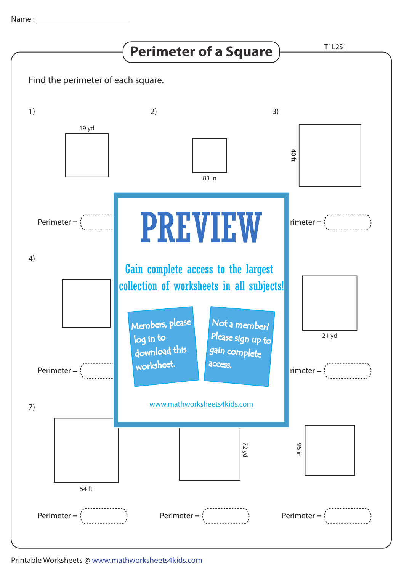